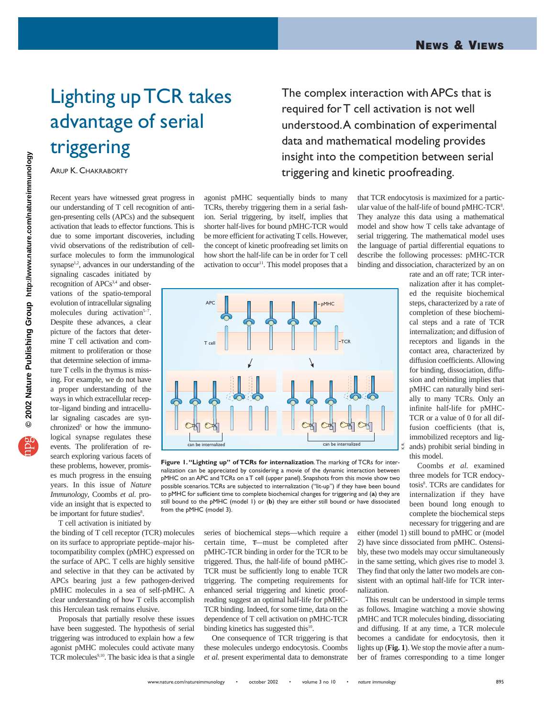## Lighting up TCR takes advantage of serial triggering

ARUP K. CHAKRABORTY

Recent years have witnessed great progress in our understanding of T cell recognition of antigen-presenting cells (APCs) and the subsequent activation that leads to effector functions. This is due to some important discoveries, including vivid observations of the redistribution of cellsurface molecules to form the immunological synapse<sup>1,2</sup>, advances in our understanding of the

signaling cascades initiated by recognition of APCs<sup>3,4</sup> and observations of the spatio-temporal evolution of intracellular signaling molecules during activation<sup>5-7</sup>. Despite these advances, a clear picture of the factors that determine T cell activation and commitment to proliferation or those that determine selection of immature T cells in the thymus is missing. For example, we do not have a proper understanding of the ways in which extracellular receptor–ligand binding and intracellular signaling cascades are synchronized $5$  or how the immunological synapse regulates these events. The proliferation of research exploring various facets of these problems, however, promises much progress in the ensuing years. In this issue of *Nature Immunology*, Coombs *et al*. provide an insight that is expected to be important for future studies<sup>8</sup>.

T cell activation is initiated by

the binding of T cell receptor (TCR) molecules on its surface to appropriate peptide–major histocompatibility complex (pMHC) expressed on the surface of APC. T cells are highly sensitive and selective in that they can be activated by APCs bearing just a few pathogen-derived pMHC molecules in a sea of self-pMHC. A clear understanding of how T cells accomplish this Herculean task remains elusive.

Proposals that partially resolve these issues have been suggested. The hypothesis of serial triggering was introduced to explain how a few agonist pMHC molecules could activate many TCR molecules<sup>9,10</sup>. The basic idea is that a single

The complex interaction with APCs that is required for T cell activation is not well understood.A combination of experimental data and mathematical modeling provides insight into the competition between serial triggering and kinetic proofreading.

agonist pMHC sequentially binds to many TCRs, thereby triggering them in a serial fashion. Serial triggering, by itself, implies that shorter half-lives for bound pMHC-TCR would be more efficient for activating T cells. However, the concept of kinetic proofreading set limits on how short the half-life can be in order for T cell activation to occur<sup>11</sup>. This model proposes that a



**Figure 1. "Lighting up" of TCRs for internalization**.The marking of TCRs for internalization can be appreciated by considering a movie of the dynamic interaction between pMHC on an APC and TCRs on a T cell (upper panel). Snapshots from this movie show two possible scenarios.TCRs are subjected to internalization ("lit-up") if they have been bound to pMHC for sufficient time to complete biochemical changes for triggering and (**a**) they are still bound to the pMHC (model 1) or (**b**) they are either still bound or have dissociated from the pMHC (model 3).

series of biochemical steps—which require a certain time, τ—must be completed after pMHC-TCR binding in order for the TCR to be triggered. Thus, the half-life of bound pMHC-TCR must be sufficiently long to enable TCR triggering. The competing requirements for enhanced serial triggering and kinetic proofreading suggest an optimal half-life for pMHC-TCR binding. Indeed, for some time, data on the dependence of T cell activation on pMHC-TCR binding kinetics has suggested this<sup>10</sup>.

One consequence of TCR triggering is that these molecules undergo endocytosis. Coombs *et al.* present experimental data to demonstrate that TCR endocytosis is maximized for a particular value of the half-life of bound pMHC-TCR<sup>8</sup>. They analyze this data using a mathematical model and show how T cells take advantage of serial triggering. The mathematical model uses the language of partial differential equations to describe the following processes: pMHC-TCR binding and dissociation, characterized by an on

rate and an off rate; TCR internalization after it has completed the requisite biochemical steps, characterized by a rate of completion of these biochemical steps and a rate of TCR internalization; and diffusion of receptors and ligands in the contact area, characterized by diffusion coefficients. Allowing for binding, dissociation, diffusion and rebinding implies that pMHC can naturally bind serially to many TCRs. Only an infinite half-life for pMHC-TCR or a value of 0 for all diffusion coefficients (that is, immobilized receptors and ligands) prohibit serial binding in this model.

Coombs *et al.* examined three models for TCR endocytosis<sup>8</sup>. TCRs are candidates for internalization if they have been bound long enough to complete the biochemical steps necessary for triggering and are

either (model 1) still bound to pMHC or (model 2) have since dissociated from pMHC. Ostensibly, these two models may occur simultaneously in the same setting, which gives rise to model 3. They find that only the latter two models are consistent with an optimal half-life for TCR internalization.

This result can be understood in simple terms as follows. Imagine watching a movie showing pMHC and TCR molecules binding, dissociating and diffusing. If at any time, a TCR molecule becomes a candidate for endocytosis, then it lights up (**Fig. 1**). We stop the movie after a number of frames corresponding to a time longer